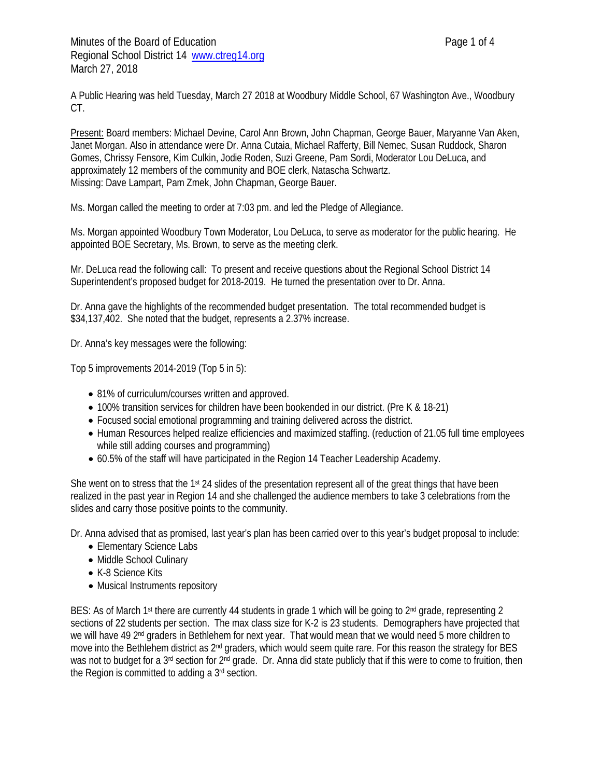A Public Hearing was held Tuesday, March 27 2018 at Woodbury Middle School, 67 Washington Ave., Woodbury CT.

Present: Board members: Michael Devine, Carol Ann Brown, John Chapman, George Bauer, Maryanne Van Aken, Janet Morgan. Also in attendance were Dr. Anna Cutaia, Michael Rafferty, Bill Nemec, Susan Ruddock, Sharon Gomes, Chrissy Fensore, Kim Culkin, Jodie Roden, Suzi Greene, Pam Sordi, Moderator Lou DeLuca, and approximately 12 members of the community and BOE clerk, Natascha Schwartz. Missing: Dave Lampart, Pam Zmek, John Chapman, George Bauer.

Ms. Morgan called the meeting to order at 7:03 pm. and led the Pledge of Allegiance.

Ms. Morgan appointed Woodbury Town Moderator, Lou DeLuca, to serve as moderator for the public hearing. He appointed BOE Secretary, Ms. Brown, to serve as the meeting clerk.

Mr. DeLuca read the following call: To present and receive questions about the Regional School District 14 Superintendent's proposed budget for 2018-2019. He turned the presentation over to Dr. Anna.

Dr. Anna gave the highlights of the recommended budget presentation. The total recommended budget is \$34,137,402. She noted that the budget, represents a 2.37% increase.

Dr. Anna's key messages were the following:

Top 5 improvements 2014-2019 (Top 5 in 5):

- 81% of curriculum/courses written and approved.
- 100% transition services for children have been bookended in our district. (Pre K & 18-21)
- Focused social emotional programming and training delivered across the district.
- Human Resources helped realize efficiencies and maximized staffing. (reduction of 21.05 full time employees while still adding courses and programming)
- 60.5% of the staff will have participated in the Region 14 Teacher Leadership Academy.

She went on to stress that the 1st 24 slides of the presentation represent all of the great things that have been realized in the past year in Region 14 and she challenged the audience members to take 3 celebrations from the slides and carry those positive points to the community.

Dr. Anna advised that as promised, last year's plan has been carried over to this year's budget proposal to include:

- Elementary Science Labs
- Middle School Culinary
- K-8 Science Kits
- Musical Instruments repository

BES: As of March 1<sup>st</sup> there are currently 44 students in grade 1 which will be going to 2<sup>nd</sup> grade, representing 2 sections of 22 students per section. The max class size for K-2 is 23 students. Demographers have projected that we will have 49 2<sup>nd</sup> graders in Bethlehem for next year. That would mean that we would need 5 more children to move into the Bethlehem district as 2<sup>nd</sup> graders, which would seem quite rare. For this reason the strategy for BES was not to budget for a 3<sup>rd</sup> section for 2<sup>nd</sup> grade. Dr. Anna did state publicly that if this were to come to fruition, then the Region is committed to adding a 3rd section.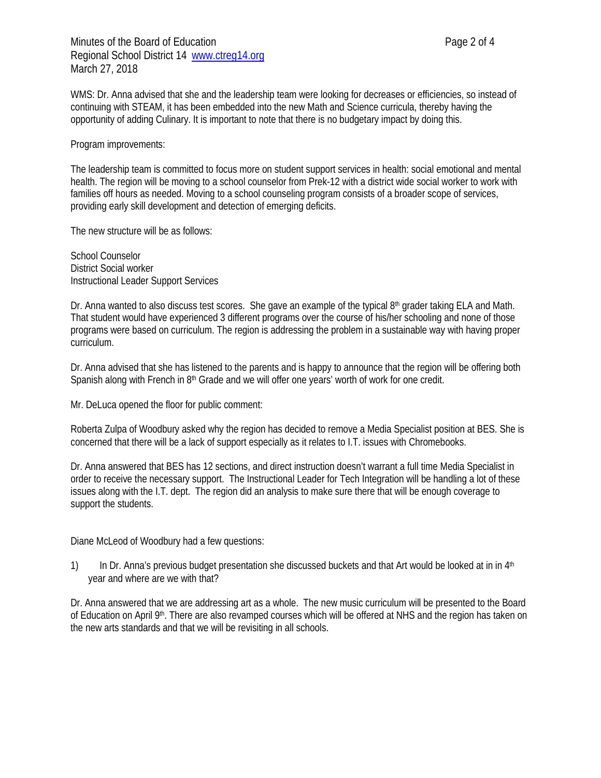WMS: Dr. Anna advised that she and the leadership team were looking for decreases or efficiencies, so instead of continuing with STEAM, it has been embedded into the new Math and Science curricula, thereby having the opportunity of adding Culinary. It is important to note that there is no budgetary impact by doing this.

Program improvements:

The leadership team is committed to focus more on student support services in health: social emotional and mental health. The region will be moving to a school counselor from Prek-12 with a district wide social worker to work with families off hours as needed. Moving to a school counseling program consists of a broader scope of services, providing early skill development and detection of emerging deficits.

The new structure will be as follows:

School Counselor District Social worker Instructional Leader Support Services

Dr. Anna wanted to also discuss test scores. She gave an example of the typical 8<sup>th</sup> grader taking ELA and Math. That student would have experienced 3 different programs over the course of his/her schooling and none of those programs were based on curriculum. The region is addressing the problem in a sustainable way with having proper curriculum.

Dr. Anna advised that she has listened to the parents and is happy to announce that the region will be offering both Spanish along with French in 8<sup>th</sup> Grade and we will offer one years' worth of work for one credit.

Mr. DeLuca opened the floor for public comment:

Roberta Zulpa of Woodbury asked why the region has decided to remove a Media Specialist position at BES. She is concerned that there will be a lack of support especially as it relates to I.T. issues with Chromebooks.

Dr. Anna answered that BES has 12 sections, and direct instruction doesn't warrant a full time Media Specialist in order to receive the necessary support. The Instructional Leader for Tech Integration will be handling a lot of these issues along with the I.T. dept. The region did an analysis to make sure there that will be enough coverage to support the students.

Diane McLeod of Woodbury had a few questions:

1) In Dr. Anna's previous budget presentation she discussed buckets and that Art would be looked at in in  $4<sup>th</sup>$ year and where are we with that?

Dr. Anna answered that we are addressing art as a whole. The new music curriculum will be presented to the Board of Education on April 9<sup>th</sup>. There are also revamped courses which will be offered at NHS and the region has taken on the new arts standards and that we will be revisiting in all schools.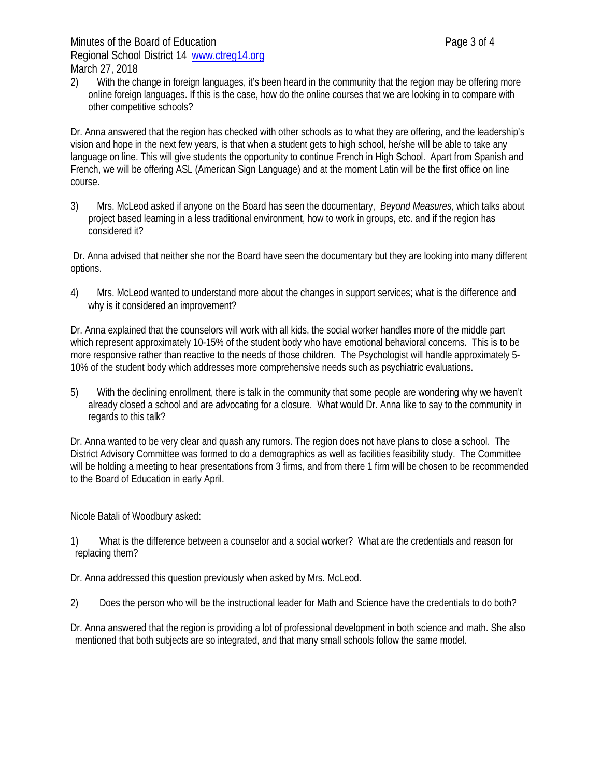2) With the change in foreign languages, it's been heard in the community that the region may be offering more online foreign languages. If this is the case, how do the online courses that we are looking in to compare with other competitive schools?

Dr. Anna answered that the region has checked with other schools as to what they are offering, and the leadership's vision and hope in the next few years, is that when a student gets to high school, he/she will be able to take any language on line. This will give students the opportunity to continue French in High School. Apart from Spanish and French, we will be offering ASL (American Sign Language) and at the moment Latin will be the first office on line course.

3) Mrs. McLeod asked if anyone on the Board has seen the documentary, *Beyond Measures*, which talks about project based learning in a less traditional environment, how to work in groups, etc. and if the region has considered it?

Dr. Anna advised that neither she nor the Board have seen the documentary but they are looking into many different options.

4) Mrs. McLeod wanted to understand more about the changes in support services; what is the difference and why is it considered an improvement?

Dr. Anna explained that the counselors will work with all kids, the social worker handles more of the middle part which represent approximately 10-15% of the student body who have emotional behavioral concerns. This is to be more responsive rather than reactive to the needs of those children. The Psychologist will handle approximately 5- 10% of the student body which addresses more comprehensive needs such as psychiatric evaluations.

5) With the declining enrollment, there is talk in the community that some people are wondering why we haven't already closed a school and are advocating for a closure. What would Dr. Anna like to say to the community in regards to this talk?

Dr. Anna wanted to be very clear and quash any rumors. The region does not have plans to close a school. The District Advisory Committee was formed to do a demographics as well as facilities feasibility study. The Committee will be holding a meeting to hear presentations from 3 firms, and from there 1 firm will be chosen to be recommended to the Board of Education in early April.

Nicole Batali of Woodbury asked:

- 1) What is the difference between a counselor and a social worker? What are the credentials and reason for replacing them?
- Dr. Anna addressed this question previously when asked by Mrs. McLeod.
- 2) Does the person who will be the instructional leader for Math and Science have the credentials to do both?

Dr. Anna answered that the region is providing a lot of professional development in both science and math. She also mentioned that both subjects are so integrated, and that many small schools follow the same model.